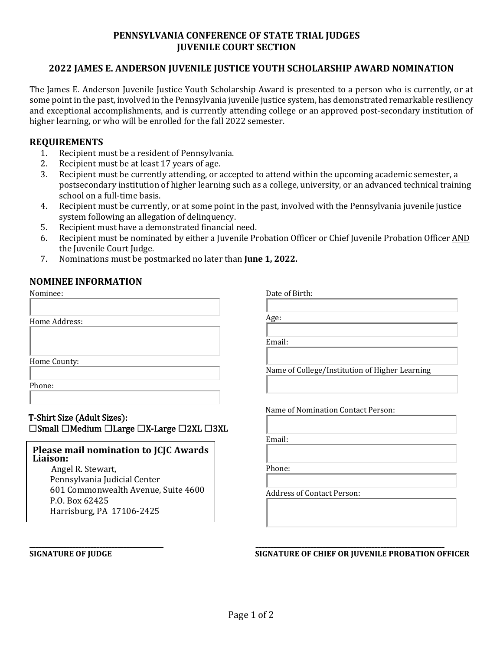## **PENNSYLVANIA CONFERENCE OF STATE TRIAL JUDGES JUVENILE COURT SECTION**

### **2022 JAMES E. ANDERSON JUVENILE JUSTICE YOUTH SCHOLARSHIP AWARD NOMINATION**

The James E. Anderson Juvenile Justice Youth Scholarship Award is presented to a person who is currently, or at some point in the past, involved in the Pennsylvania juvenile justice system, has demonstrated remarkable resiliency and exceptional accomplishments, and is currently attending college or an approved post-secondary institution of higher learning, or who will be enrolled for the fall 2022 semester.

#### **REQUIREMENTS**

- 1. Recipient must be a resident of Pennsylvania.<br>2. Recipient must be at least 17 years of age.
- 2. Recipient must be at least 17 years of age.<br>3. Recipient must be currently attending, or a
- Recipient must be currently attending, or accepted to attend within the upcoming academic semester, a postsecondary institution of higher learning such as a college, university, or an advanced technical training school on a full-time basis.
- 4. Recipient must be currently, or at some point in the past, involved with the Pennsylvania juvenile justice system following an allegation of delinquency.
- 5. Recipient must have a demonstrated financial need.<br>6. Recipient must be nominated by either a Juvenile Pr
- 6. Recipient must be nominated by either a Juvenile Probation Officer or Chief Juvenile Probation Officer AND the Juvenile Court Judge.
- 7. Nominations must be postmarked no later than **June 1, 2022.**

### **NOMINEE INFORMATION**

| Age:                                           |
|------------------------------------------------|
|                                                |
|                                                |
| Email:                                         |
|                                                |
| Name of College/Institution of Higher Learning |
|                                                |
|                                                |
| Name of Nomination Contact Person:             |
|                                                |
| Email:                                         |
|                                                |
| Phone:                                         |
|                                                |
| <b>Address of Contact Person:</b>              |
|                                                |
|                                                |
|                                                |

#### **\_\_\_\_\_\_\_\_\_\_\_\_\_\_\_\_\_\_\_\_\_\_\_\_\_\_\_\_\_\_\_\_\_\_\_\_\_\_\_\_\_\_\_\_ \_\_\_\_\_\_\_\_\_\_\_\_\_\_\_\_\_\_\_\_\_\_\_\_\_\_\_\_\_\_\_\_\_\_\_\_\_\_\_\_\_\_\_\_\_\_\_\_\_\_\_\_\_\_\_\_\_\_\_\_\_\_ SIGNATURE OF JUDGE SIGNATURE OF CHIEF OR JUVENILE PROBATION OFFICER**